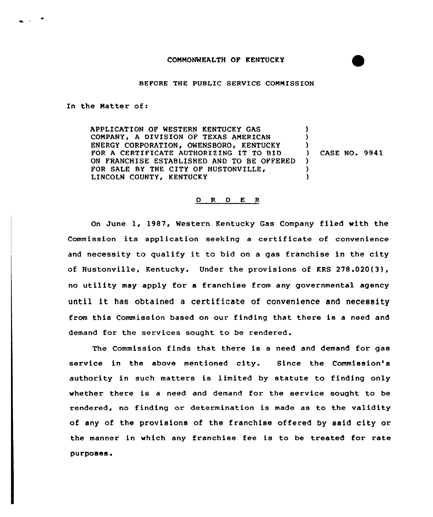## BEFORE THE PUBLIC SERVICE COMMISSION

In the Natter of:

المنابي

APPLICATION OF WESTERN KENTUCKY GAS COMPANY, A DIVISION OF TEXAS AMERICAN ENERGY CORPORATION, OWENSBORO, KENTUCKY FOR <sup>A</sup> CERTIFICATE AUTHORIZING IT TO BID ON FRANCHISE ESTABLISHED AND TO BE OFFERED FOR SALE RY THE CITY OF HUSTONVILLE, LINCOLN COUNTY, KENTUCKY  $\lambda$  $\lambda$  $\left\{ \begin{array}{c} \lambda \\ \lambda \end{array} \right\}$ ) CASE NO. 9941  $\lambda$ )  $\lambda$ 

## 0 R <sup>D</sup> E <sup>R</sup>

On June 1, 1987, Western Kentucky Gas Company filed with the Commission its application seeking <sup>a</sup> certificate of convenience and necessity to qualify it to bid on <sup>a</sup> gas franchise in the city of Hustonville, Kentucky. Under the provisions of KRS 278.020(3), no utility may apply for a franchise from any governmental agency until it has obtained <sup>a</sup> certificate of convenience and necessity from this Commission based on our finding that there is <sup>a</sup> need and demand for the services sought to be rendered.

The Commission finds that there is a need and demand for gas service in the above mentioned city. Since the Commission's authority in such matters is limited by statute to finding only whether there is a need and demand for the service sought to be rendered, no finding or determination is made as to the validity of any of the provisions of the franchise offered by said city or the manner in which any franchise fee is to be treated for rate purposes.